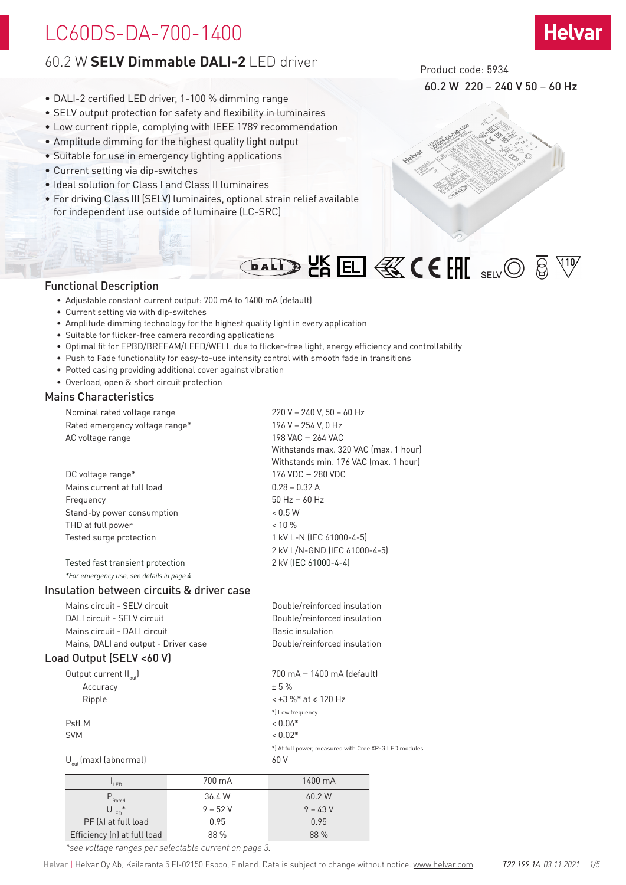# 60.2 W **SELV Dimmable DALI-2** LED driver

- DALI-2 certified LED driver, 1-100 % dimming range
- SELV output protection for safety and flexibility in luminaires
- Low current ripple, complying with IEEE 1789 recommendation
- Amplitude dimming for the highest quality light output
- Suitable for use in emergency lighting applications
- Current setting via dip-switches
- Ideal solution for Class I and Class II luminaires
- For driving Class III (SELV) luminaires, optional strain relief available for independent use outside of luminaire (LC-SRC)



60.2 W 220 – 240 V 50 – 60 Hz

**Helvar** 



**DALD ON EL & CEHI** SELVO

### Functional Description

- Adjustable constant current output: 700 mA to 1400 mA (default)
- Current setting via with dip-switches
- Amplitude dimming technology for the highest quality light in every application
- Suitable for flicker-free camera recording applications
- Optimal fit for EPBD/BREEAM/LEED/WELL due to flicker-free light, energy efficiency and controllability
- Push to Fade functionality for easy-to-use intensity control with smooth fade in transitions
- Potted casing providing additional cover against vibration
- Overload, open & short circuit protection

### Mains Characteristics

| Nominal rated voltage range               | 220 V - 240 V, 50 - 60 Hz             |
|-------------------------------------------|---------------------------------------|
| Rated emergency voltage range*            | 196 V - 254 V. 0 Hz                   |
| AC voltage range                          | 198 VAC - 264 VAC                     |
|                                           | Withstands max. 320 VAC (max. 1 hour) |
|                                           | Withstands min. 176 VAC (max. 1 hour) |
| DC voltage range*                         | 176 VDC - 280 VDC                     |
| Mains current at full load                | $0.28 - 0.32 A$                       |
| Frequency                                 | $50$ Hz $-60$ Hz                      |
| Stand-by power consumption                | < 0.5 W                               |
| THD at full power                         | $< 10 \%$                             |
| Tested surge protection                   | 1 kV L-N (IEC 61000-4-5)              |
|                                           | 2 kV L/N-GND (IEC 61000-4-5)          |
| Tested fast transient protection          | 2 kV (IEC 61000-4-4)                  |
| *For emergency use, see details in page 4 |                                       |

### Insulation between circuits & driver case

| Mains circuit - SELV circuit          |        | Double/reinforced insulation                           |  |  |  |
|---------------------------------------|--------|--------------------------------------------------------|--|--|--|
| DALL circuit - SELV circuit           |        | Double/reinforced insulation                           |  |  |  |
| Mains circuit - DALI circuit          |        | Basic insulation                                       |  |  |  |
| Mains, DALI and output - Driver case  |        | Double/reinforced insulation                           |  |  |  |
| Load Output (SELV <60 V)              |        |                                                        |  |  |  |
| Output current $\left(I_{out}\right)$ |        | 700 mA - 1400 mA (default)                             |  |  |  |
| Accuracy                              |        | ± 5%                                                   |  |  |  |
| Ripple                                |        | $\leq$ ±3 %* at $\leq$ 120 Hz                          |  |  |  |
|                                       |        | *] Low frequency                                       |  |  |  |
| PstLM                                 |        | $< 0.06*$                                              |  |  |  |
| <b>SVM</b>                            |        | $< 0.02*$                                              |  |  |  |
|                                       |        | *) At full power, measured with Cree XP-G LED modules. |  |  |  |
| $U_{\text{out}}$ (max) (abnormal)     |        | 60 V                                                   |  |  |  |
| LED                                   | 700 mA | 1400 mA                                                |  |  |  |

| <sup>'</sup> I FD           | 700 mA    | 1400 mA   |
|-----------------------------|-----------|-----------|
| $P$<br>Rated                | 36.4 W    | 60.2 W    |
| $\ast$<br>$U_{\text{LED}}$  | $9 - 52V$ | $9 - 43V$ |
| PF (λ) at full load         | 0.95      | 0.95      |
| Efficiency (n) at full load | 88 %      | 88 %      |

*\*see voltage ranges per selectable current on page 3.*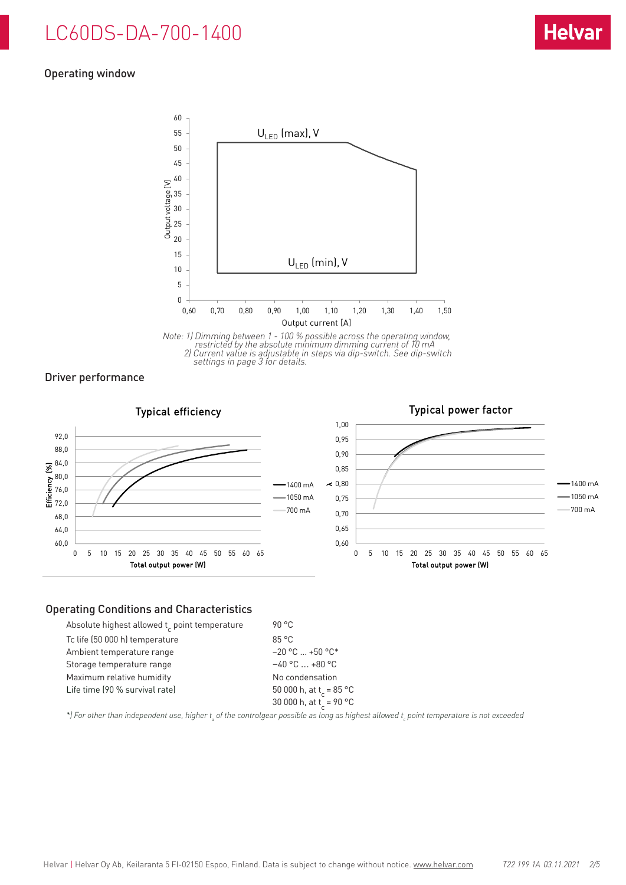## Operating window



*Note: 1) Dimming between 1 - 100 % possible across the operating window, restricted by the absolute minimum dimming current of 10 mA 2) Current value is adjustable in steps via dip-switch. See dip-switch settings in page 3 for details.*

Driver performance



### Operating Conditions and Characteristics

| Absolute highest allowed t point temperature | 90 °C                               |
|----------------------------------------------|-------------------------------------|
| Tc life (50 000 h) temperature               | 85°C                                |
| Ambient temperature range                    | $-20$ °C $$ +50 °C*                 |
| Storage temperature range                    | $-40$ °C $\ldots$ +80 °C            |
| Maximum relative humidity                    | No condensation                     |
| Life time (90 % survival rate)               | 50 000 h, at t <sub>r</sub> = 85 °C |
|                                              | 30 000 h, at t <sub>r</sub> = 90 °C |

\*) For other than independent use, higher t<sub>a</sub> of the controlgear possible as long as highest allowed t<sub>c</sub> point temperature is not exceeded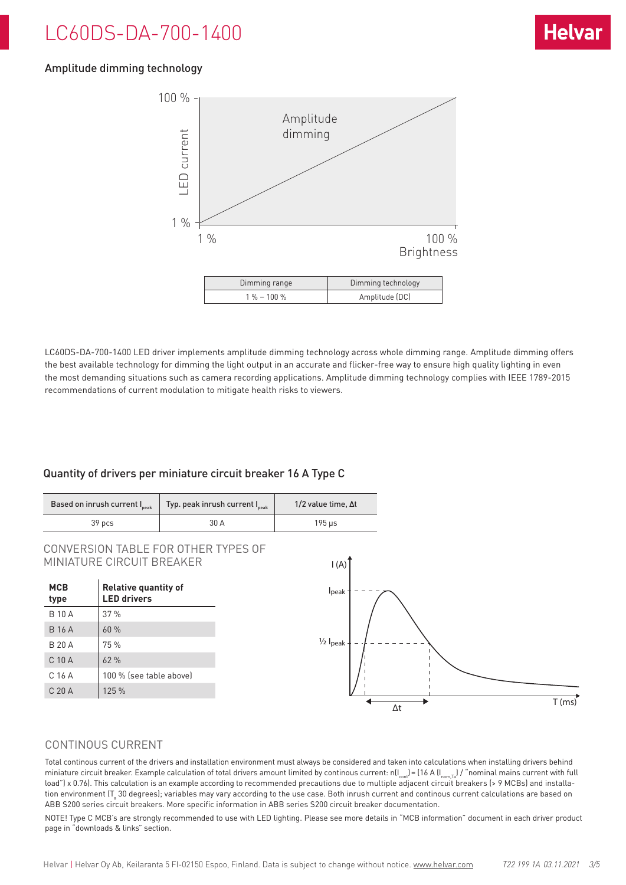# Amplitude dimming technology



LC60DS-DA-700-1400 LED driver implements amplitude dimming technology across whole dimming range. Amplitude dimming offers the best available technology for dimming the light output in an accurate and flicker-free way to ensure high quality lighting in even the most demanding situations such as camera recording applications. Amplitude dimming technology complies with IEEE 1789-2015 recommendations of current modulation to mitigate health risks to viewers.

## Quantity of drivers per miniature circuit breaker 16 A Type C

| Based on inrush current I <sub>peak</sub> | Typ. peak inrush current I <sub>peak</sub> | $1/2$ value time. $\Delta t$ |
|-------------------------------------------|--------------------------------------------|------------------------------|
| 39 pcs                                    | 30 A                                       | 195 us                       |

CONVERSION TABLE FOR OTHER TYPES OF MINIATURE CIRCUIT BREAKER  $\begin{bmatrix} 1 & 0 \\ 0 & 1 \end{bmatrix}$ 

| <b>MCB</b><br>type | <b>Relative quantity of</b><br><b>LED drivers</b> |
|--------------------|---------------------------------------------------|
| <b>B10A</b>        | 37%                                               |
| <b>B</b> 16 A      | 60%                                               |
| <b>B 20 A</b>      | 75 %                                              |
| C 10 A             | 62%                                               |
| C 16 A             | 100 % (see table above)                           |
| C 20 A             | 125 %                                             |
|                    |                                                   |

## CONTINOUS CURRENT

Total continous current of the drivers and installation environment must always be considered and taken into calculations when installing drivers behind miniature circuit breaker. Example calculation of total drivers amount limited by continous current: n( $I_{\text{cont}}$ ) = (16 A ( $I_{\text{nom,Ta}}$ ) / "nominal mains current with full load") x 0.76). This calculation is an example according to recommended precautions due to multiple adjacent circuit breakers (> 9 MCBs) and installation environment (T $_{\rm a}$  30 degrees); variables may vary according to the use case. Both inrush current and continous current calculations are based on ABB S200 series circuit breakers. More specific information in ABB series S200 circuit breaker documentation.

NOTE! Type C MCB's are strongly recommended to use with LED lighting. Please see more details in "MCB information" document in each driver product page in "downloads & links" section.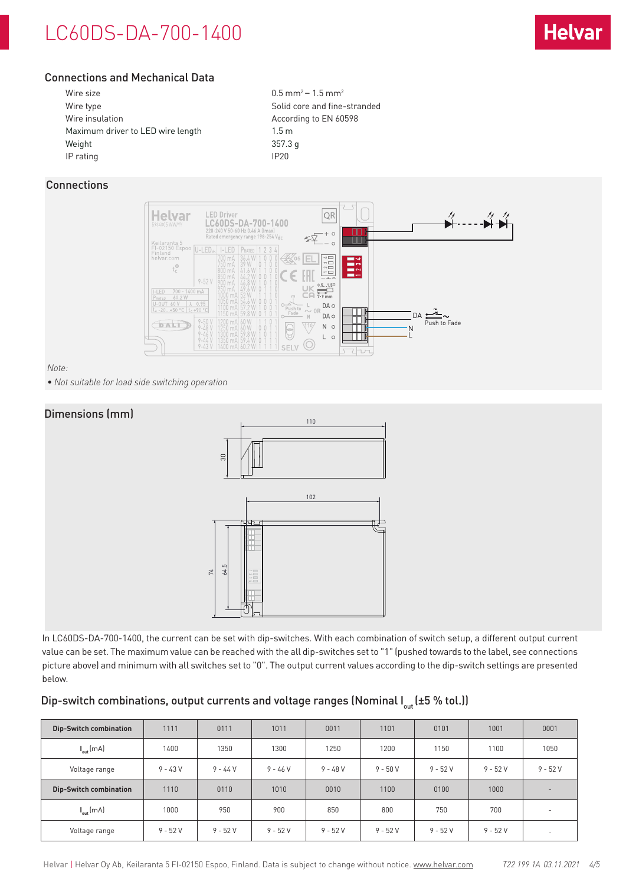# Connections and Mechanical Data

| Wire size                         | $0.5$ mm <sup>2</sup> – 1.5 mm <sup>2</sup> |
|-----------------------------------|---------------------------------------------|
| Wire type                         | Solid core and fine-stranded                |
| Wire insulation                   | According to EN 60598                       |
| Maximum driver to LED wire length | 1.5 <sub>m</sub>                            |
| Weight                            | 357.3 g                                     |
| IP rating                         | IP <sub>20</sub>                            |
|                                   |                                             |

# Connections



*Note:* 

*• Not suitable for load side switching operation*

## Dimensions (mm)



In LC60DS-DA-700-1400, the current can be set with dip-switches. With each combination of switch setup, a different output current value can be set. The maximum value can be reached with the all dip-switches set to "1" (pushed towards to the label, see connections picture above) and minimum with all switches set to "0". The output current values according to the dip-switch settings are presented below.

## Dip-switch combinations, output currents and voltage ranges (Nominal  $I_{out}$  (±5 % tol.))

| <b>Dip-Switch combination</b> | 1111      | 0111       | 1011       | 0011      | 1101      | 0101      | 1001      | 0001                     |
|-------------------------------|-----------|------------|------------|-----------|-----------|-----------|-----------|--------------------------|
| $I_{\text{out}}$ (mA)         | 1400      | 1350       | 1300       | 1250      | 1200      | 1150      | 1100      | 1050                     |
| Voltage range                 | $9 - 43V$ | $9 - 44 V$ | $9 - 46 V$ | $9 - 48V$ | $9 - 50V$ | $9 - 52V$ | $9 - 52V$ | $9 - 52V$                |
| <b>Dip-Switch combination</b> | 1110      | 0110       | 1010       | 0010      | 1100      | 0100      | 1000      |                          |
| $I_{\text{out}}$ (mA)         | 1000      | 950        | 900        | 850       | 800       | 750       | 700       | $\overline{\phantom{a}}$ |
| Voltage range                 | $9 - 52V$ | $9 - 52V$  | $9 - 52V$  | $9 - 52V$ | $9 - 52V$ | $9 - 52V$ | $9 - 52V$ |                          |